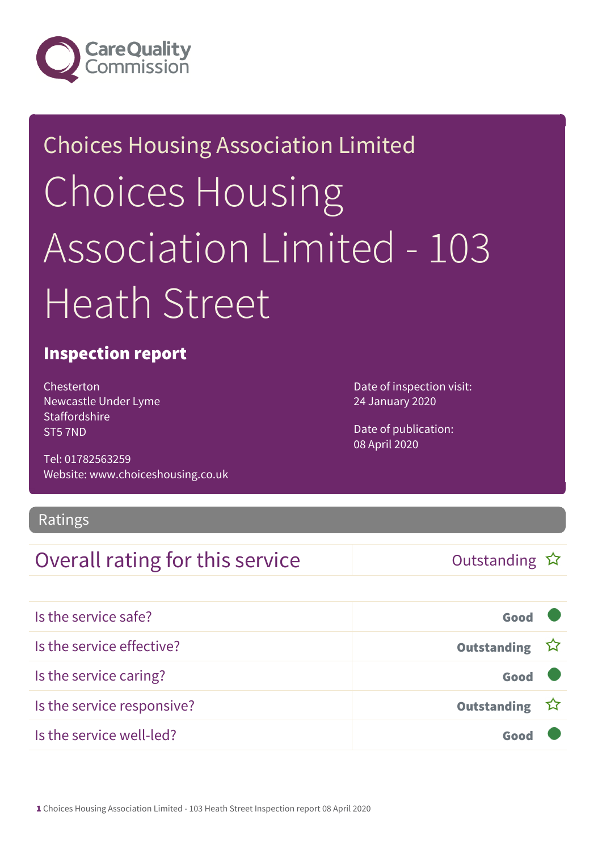

# Choices Housing Association Limited Choices Housing Association Limited - 103 Heath Street

### Inspection report

Chesterton Newcastle Under Lyme **Staffordshire** ST5 7ND

Tel: 01782563259 Website: www.choiceshousing.co.uk Date of inspection visit: 24 January 2020

Date of publication: 08 April 2020

### Ratings

### Overall rating for this service  $\Box$  Outstanding  $\hat{x}$

| Is the service safe?       | Good          |  |
|----------------------------|---------------|--|
| Is the service effective?  | Outstanding ☆ |  |
| Is the service caring?     | Good          |  |
| Is the service responsive? | Outstanding ☆ |  |
| Is the service well-led?   | Goo           |  |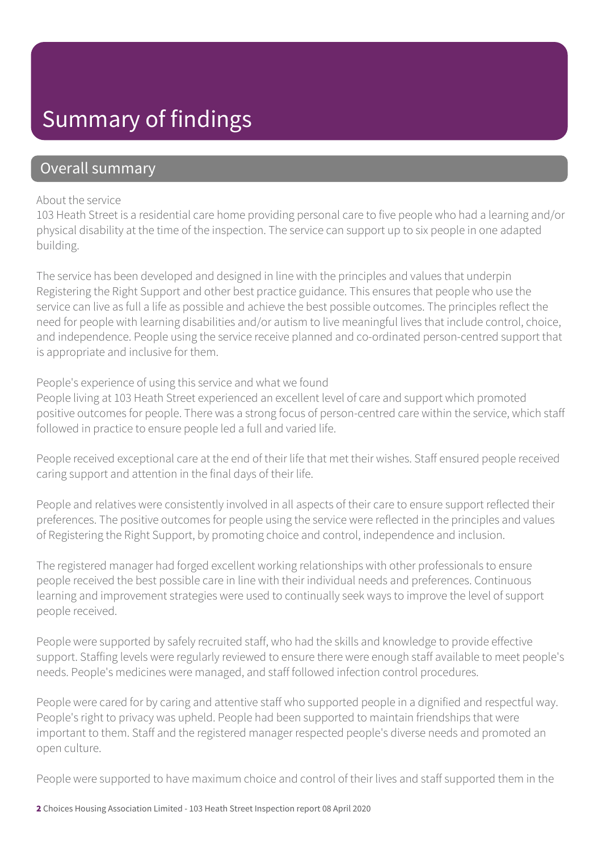## Summary of findings

### Overall summary

#### About the service

103 Heath Street is a residential care home providing personal care to five people who had a learning and/or physical disability at the time of the inspection. The service can support up to six people in one adapted building.

The service has been developed and designed in line with the principles and values that underpin Registering the Right Support and other best practice guidance. This ensures that people who use the service can live as full a life as possible and achieve the best possible outcomes. The principles reflect the need for people with learning disabilities and/or autism to live meaningful lives that include control, choice, and independence. People using the service receive planned and co-ordinated person-centred support that is appropriate and inclusive for them.

People's experience of using this service and what we found

People living at 103 Heath Street experienced an excellent level of care and support which promoted positive outcomes for people. There was a strong focus of person-centred care within the service, which staff followed in practice to ensure people led a full and varied life.

People received exceptional care at the end of their life that met their wishes. Staff ensured people received caring support and attention in the final days of their life.

People and relatives were consistently involved in all aspects of their care to ensure support reflected their preferences. The positive outcomes for people using the service were reflected in the principles and values of Registering the Right Support, by promoting choice and control, independence and inclusion.

The registered manager had forged excellent working relationships with other professionals to ensure people received the best possible care in line with their individual needs and preferences. Continuous learning and improvement strategies were used to continually seek ways to improve the level of support people received.

People were supported by safely recruited staff, who had the skills and knowledge to provide effective support. Staffing levels were regularly reviewed to ensure there were enough staff available to meet people's needs. People's medicines were managed, and staff followed infection control procedures.

People were cared for by caring and attentive staff who supported people in a dignified and respectful way. People's right to privacy was upheld. People had been supported to maintain friendships that were important to them. Staff and the registered manager respected people's diverse needs and promoted an open culture.

People were supported to have maximum choice and control of their lives and staff supported them in the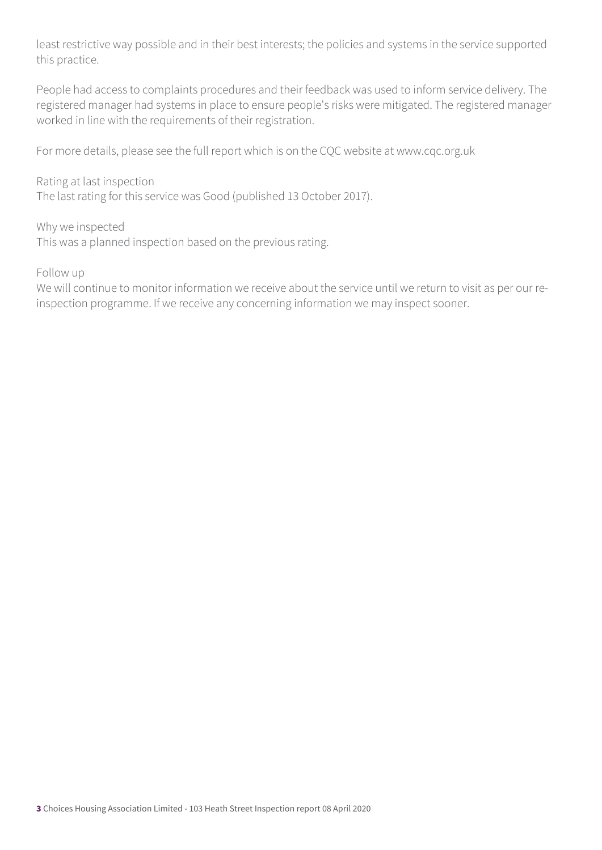least restrictive way possible and in their best interests; the policies and systems in the service supported this practice.

People had access to complaints procedures and their feedback was used to inform service delivery. The registered manager had systems in place to ensure people's risks were mitigated. The registered manager worked in line with the requirements of their registration.

For more details, please see the full report which is on the CQC website at www.cqc.org.uk

Rating at last inspection The last rating for this service was Good (published 13 October 2017).

Why we inspected This was a planned inspection based on the previous rating.

Follow up

We will continue to monitor information we receive about the service until we return to visit as per our reinspection programme. If we receive any concerning information we may inspect sooner.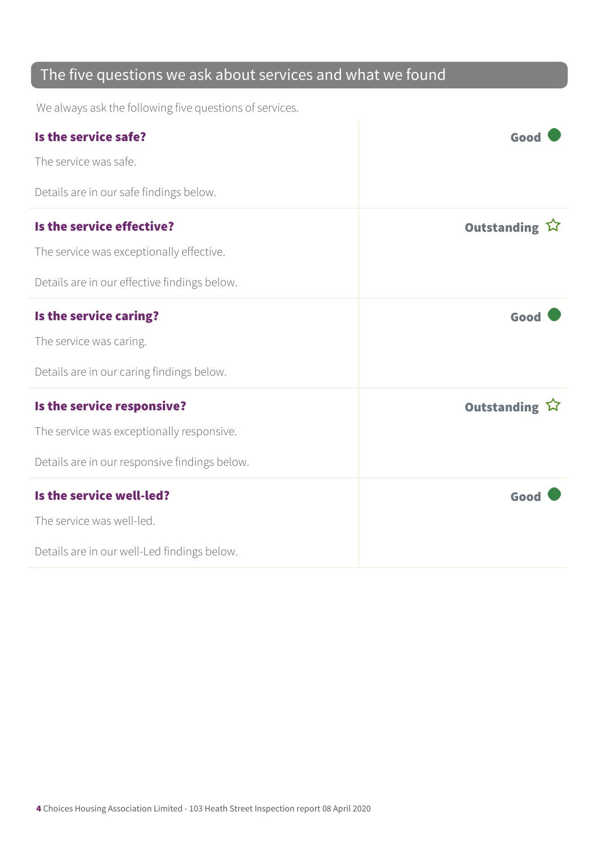### The five questions we ask about services and what we found

We always ask the following five questions of services.

| Is the service safe?                          | Good                  |
|-----------------------------------------------|-----------------------|
| The service was safe.                         |                       |
| Details are in our safe findings below.       |                       |
| Is the service effective?                     | Outstanding $\hat{W}$ |
| The service was exceptionally effective.      |                       |
| Details are in our effective findings below.  |                       |
| Is the service caring?                        | Good                  |
| The service was caring.                       |                       |
| Details are in our caring findings below.     |                       |
| Is the service responsive?                    | Outstanding $\hat{W}$ |
| The service was exceptionally responsive.     |                       |
| Details are in our responsive findings below. |                       |
| Is the service well-led?                      | Good                  |
| The service was well-led.                     |                       |
| Details are in our well-Led findings below.   |                       |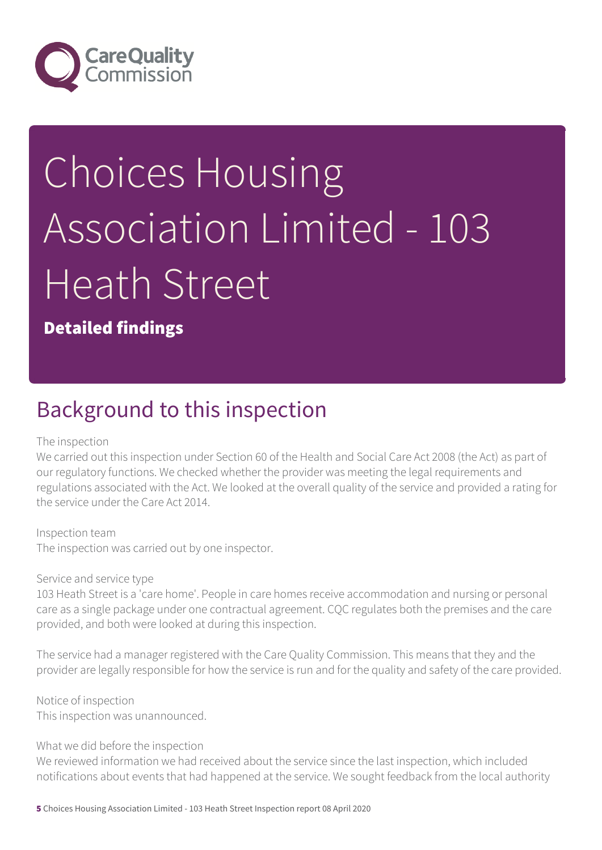

# Choices Housing Association Limited - 103 Heath Street

Detailed findings

### Background to this inspection

#### The inspection

We carried out this inspection under Section 60 of the Health and Social Care Act 2008 (the Act) as part of our regulatory functions. We checked whether the provider was meeting the legal requirements and regulations associated with the Act. We looked at the overall quality of the service and provided a rating for the service under the Care Act 2014.

Inspection team The inspection was carried out by one inspector.

Service and service type

103 Heath Street is a 'care home'. People in care homes receive accommodation and nursing or personal care as a single package under one contractual agreement. CQC regulates both the premises and the care provided, and both were looked at during this inspection.

The service had a manager registered with the Care Quality Commission. This means that they and the provider are legally responsible for how the service is run and for the quality and safety of the care provided.

Notice of inspection This inspection was unannounced.

#### What we did before the inspection

We reviewed information we had received about the service since the last inspection, which included notifications about events that had happened at the service. We sought feedback from the local authority

5 Choices Housing Association Limited - 103 Heath Street Inspection report 08 April 2020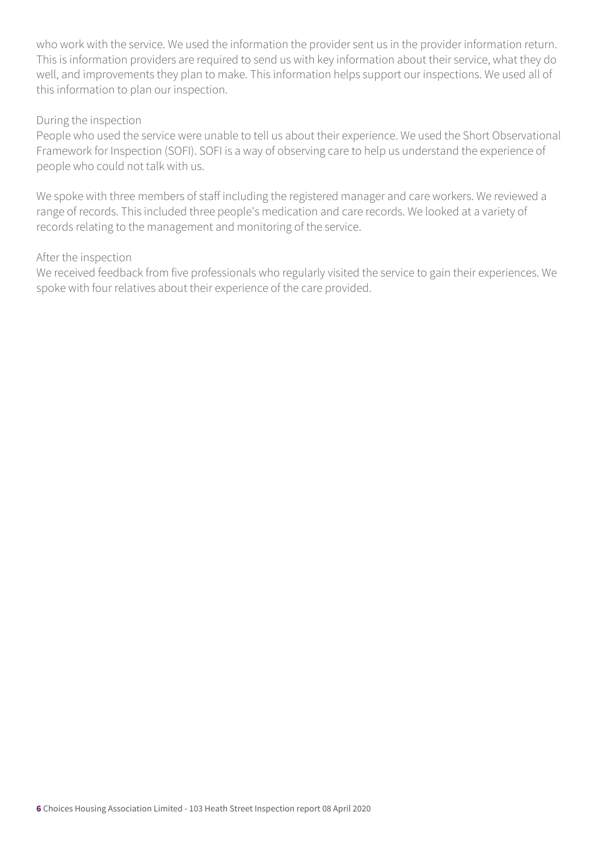who work with the service. We used the information the provider sent us in the provider information return. This is information providers are required to send us with key information about their service, what they do well, and improvements they plan to make. This information helps support our inspections. We used all of this information to plan our inspection.

#### During the inspection

People who used the service were unable to tell us about their experience. We used the Short Observational Framework for Inspection (SOFI). SOFI is a way of observing care to help us understand the experience of people who could not talk with us.

We spoke with three members of staff including the registered manager and care workers. We reviewed a range of records. This included three people's medication and care records. We looked at a variety of records relating to the management and monitoring of the service.

#### After the inspection

We received feedback from five professionals who regularly visited the service to gain their experiences. We spoke with four relatives about their experience of the care provided.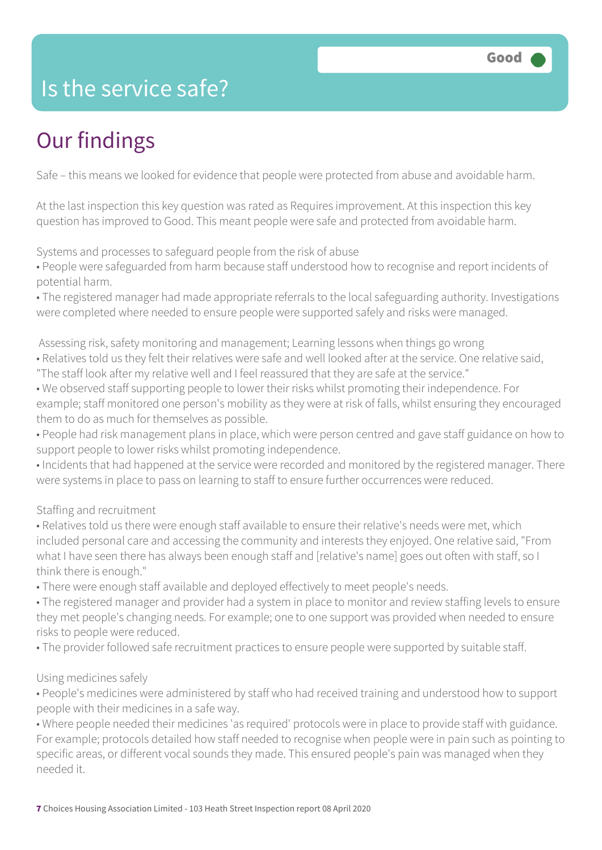## Is the service safe?

# Our findings

Safe – this means we looked for evidence that people were protected from abuse and avoidable harm.

At the last inspection this key question was rated as Requires improvement. At this inspection this key question has improved to Good. This meant people were safe and protected from avoidable harm.

Systems and processes to safeguard people from the risk of abuse

• People were safeguarded from harm because staff understood how to recognise and report incidents of potential harm.

• The registered manager had made appropriate referrals to the local safeguarding authority. Investigations were completed where needed to ensure people were supported safely and risks were managed.

Assessing risk, safety monitoring and management; Learning lessons when things go wrong

- Relatives told us they felt their relatives were safe and well looked after at the service. One relative said,
- "The staff look after my relative well and I feel reassured that they are safe at the service."
- We observed staff supporting people to lower their risks whilst promoting their independence. For example; staff monitored one person's mobility as they were at risk of falls, whilst ensuring they encouraged them to do as much for themselves as possible.
- People had risk management plans in place, which were person centred and gave staff guidance on how to support people to lower risks whilst promoting independence.
- Incidents that had happened at the service were recorded and monitored by the registered manager. There were systems in place to pass on learning to staff to ensure further occurrences were reduced.

#### Staffing and recruitment

- Relatives told us there were enough staff available to ensure their relative's needs were met, which included personal care and accessing the community and interests they enjoyed. One relative said, "From what I have seen there has always been enough staff and [relative's name] goes out often with staff, so I think there is enough."
- There were enough staff available and deployed effectively to meet people's needs.
- The registered manager and provider had a system in place to monitor and review staffing levels to ensure they met people's changing needs. For example; one to one support was provided when needed to ensure risks to people were reduced.
- The provider followed safe recruitment practices to ensure people were supported by suitable staff.

#### Using medicines safely

• People's medicines were administered by staff who had received training and understood how to support people with their medicines in a safe way.

• Where people needed their medicines 'as required' protocols were in place to provide staff with guidance. For example; protocols detailed how staff needed to recognise when people were in pain such as pointing to specific areas, or different vocal sounds they made. This ensured people's pain was managed when they needed it.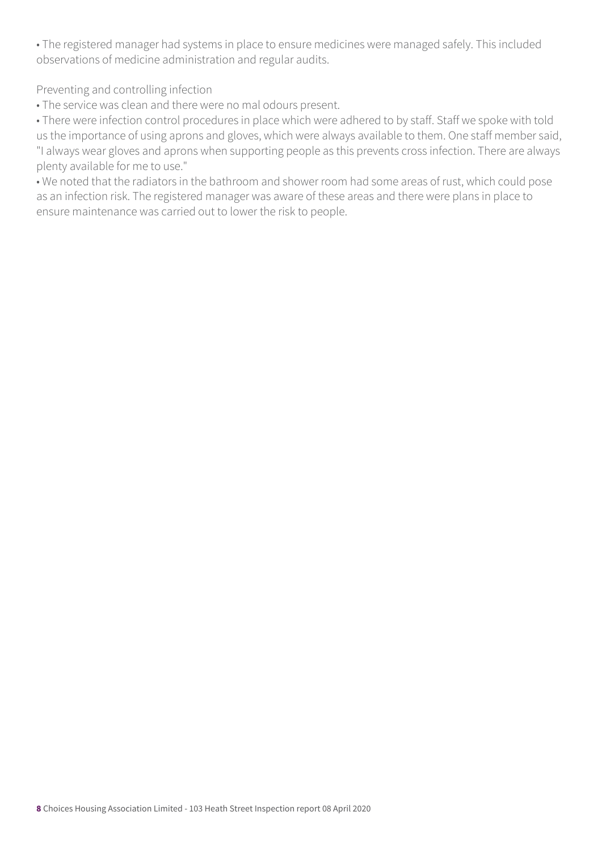• The registered manager had systems in place to ensure medicines were managed safely. This included observations of medicine administration and regular audits.

Preventing and controlling infection

• The service was clean and there were no mal odours present.

• There were infection control procedures in place which were adhered to by staff. Staff we spoke with told us the importance of using aprons and gloves, which were always available to them. One staff member said, "I always wear gloves and aprons when supporting people as this prevents cross infection. There are always plenty available for me to use."

• We noted that the radiators in the bathroom and shower room had some areas of rust, which could pose as an infection risk. The registered manager was aware of these areas and there were plans in place to ensure maintenance was carried out to lower the risk to people.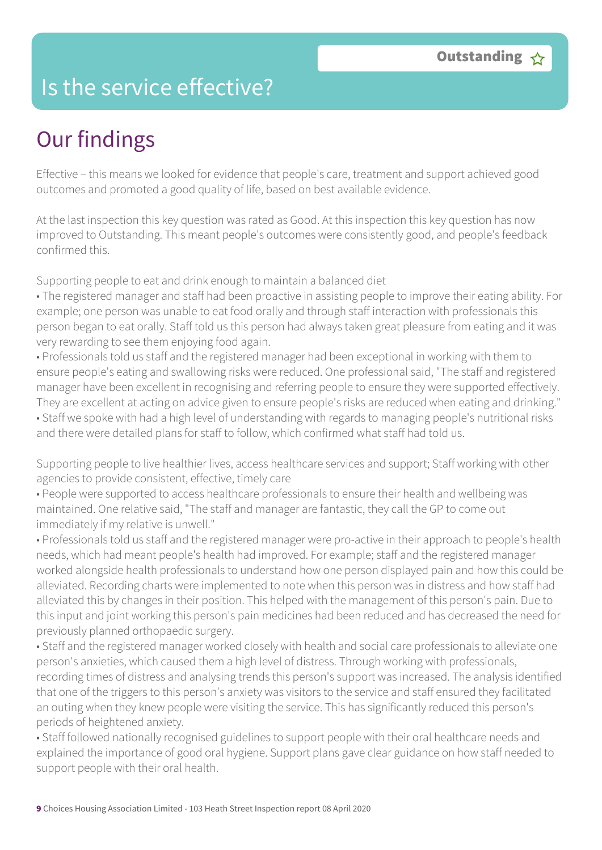### Is the service effective?

# Our findings

Effective – this means we looked for evidence that people's care, treatment and support achieved good outcomes and promoted a good quality of life, based on best available evidence.

At the last inspection this key question was rated as Good. At this inspection this key question has now improved to Outstanding. This meant people's outcomes were consistently good, and people's feedback confirmed this.

Supporting people to eat and drink enough to maintain a balanced diet

• The registered manager and staff had been proactive in assisting people to improve their eating ability. For example; one person was unable to eat food orally and through staff interaction with professionals this person began to eat orally. Staff told us this person had always taken great pleasure from eating and it was very rewarding to see them enjoying food again.

• Professionals told us staff and the registered manager had been exceptional in working with them to ensure people's eating and swallowing risks were reduced. One professional said, "The staff and registered manager have been excellent in recognising and referring people to ensure they were supported effectively. They are excellent at acting on advice given to ensure people's risks are reduced when eating and drinking." • Staff we spoke with had a high level of understanding with regards to managing people's nutritional risks and there were detailed plans for staff to follow, which confirmed what staff had told us.

Supporting people to live healthier lives, access healthcare services and support; Staff working with other agencies to provide consistent, effective, timely care

• People were supported to access healthcare professionals to ensure their health and wellbeing was maintained. One relative said, "The staff and manager are fantastic, they call the GP to come out immediately if my relative is unwell."

• Professionals told us staff and the registered manager were pro-active in their approach to people's health needs, which had meant people's health had improved. For example; staff and the registered manager worked alongside health professionals to understand how one person displayed pain and how this could be alleviated. Recording charts were implemented to note when this person was in distress and how staff had alleviated this by changes in their position. This helped with the management of this person's pain. Due to this input and joint working this person's pain medicines had been reduced and has decreased the need for previously planned orthopaedic surgery.

• Staff and the registered manager worked closely with health and social care professionals to alleviate one person's anxieties, which caused them a high level of distress. Through working with professionals, recording times of distress and analysing trends this person's support was increased. The analysis identified that one of the triggers to this person's anxiety was visitors to the service and staff ensured they facilitated an outing when they knew people were visiting the service. This has significantly reduced this person's periods of heightened anxiety.

• Staff followed nationally recognised guidelines to support people with their oral healthcare needs and explained the importance of good oral hygiene. Support plans gave clear guidance on how staff needed to support people with their oral health.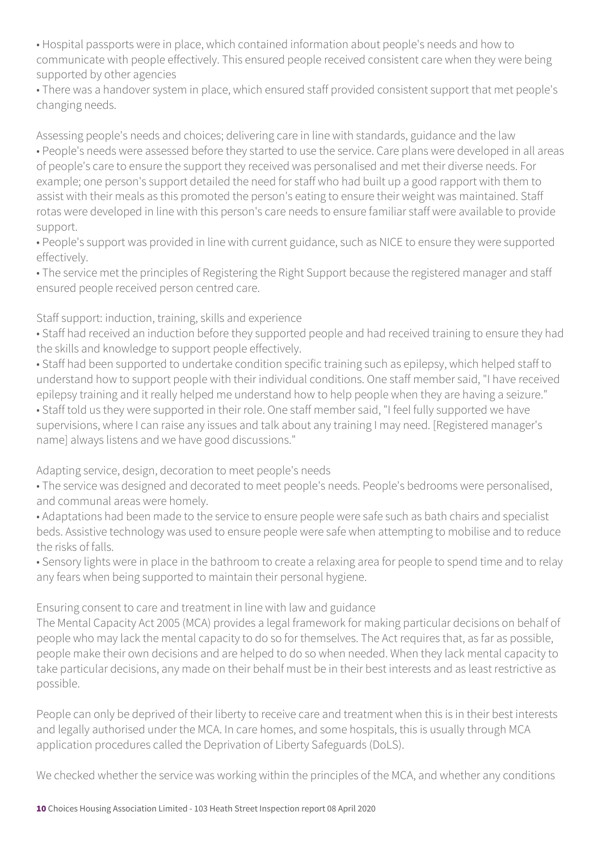• Hospital passports were in place, which contained information about people's needs and how to communicate with people effectively. This ensured people received consistent care when they were being supported by other agencies

• There was a handover system in place, which ensured staff provided consistent support that met people's changing needs.

Assessing people's needs and choices; delivering care in line with standards, guidance and the law • People's needs were assessed before they started to use the service. Care plans were developed in all areas of people's care to ensure the support they received was personalised and met their diverse needs. For example; one person's support detailed the need for staff who had built up a good rapport with them to assist with their meals as this promoted the person's eating to ensure their weight was maintained. Staff rotas were developed in line with this person's care needs to ensure familiar staff were available to provide support.

• People's support was provided in line with current guidance, such as NICE to ensure they were supported effectively.

• The service met the principles of Registering the Right Support because the registered manager and staff ensured people received person centred care.

Staff support: induction, training, skills and experience

• Staff had received an induction before they supported people and had received training to ensure they had the skills and knowledge to support people effectively.

• Staff had been supported to undertake condition specific training such as epilepsy, which helped staff to understand how to support people with their individual conditions. One staff member said, "I have received epilepsy training and it really helped me understand how to help people when they are having a seizure."

• Staff told us they were supported in their role. One staff member said, "I feel fully supported we have supervisions, where I can raise any issues and talk about any training I may need. [Registered manager's name] always listens and we have good discussions."

#### Adapting service, design, decoration to meet people's needs

• The service was designed and decorated to meet people's needs. People's bedrooms were personalised, and communal areas were homely.

• Adaptations had been made to the service to ensure people were safe such as bath chairs and specialist beds. Assistive technology was used to ensure people were safe when attempting to mobilise and to reduce the risks of falls.

• Sensory lights were in place in the bathroom to create a relaxing area for people to spend time and to relay any fears when being supported to maintain their personal hygiene.

Ensuring consent to care and treatment in line with law and guidance

The Mental Capacity Act 2005 (MCA) provides a legal framework for making particular decisions on behalf of people who may lack the mental capacity to do so for themselves. The Act requires that, as far as possible, people make their own decisions and are helped to do so when needed. When they lack mental capacity to take particular decisions, any made on their behalf must be in their best interests and as least restrictive as possible.

People can only be deprived of their liberty to receive care and treatment when this is in their best interests and legally authorised under the MCA. In care homes, and some hospitals, this is usually through MCA application procedures called the Deprivation of Liberty Safeguards (DoLS).

We checked whether the service was working within the principles of the MCA, and whether any conditions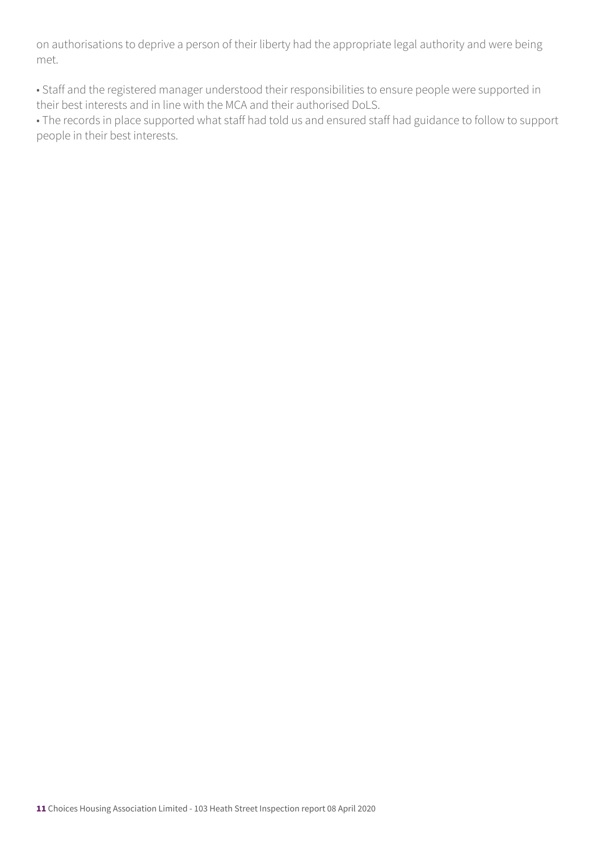on authorisations to deprive a person of their liberty had the appropriate legal authority and were being met.

• Staff and the registered manager understood their responsibilities to ensure people were supported in their best interests and in line with the MCA and their authorised DoLS.

• The records in place supported what staff had told us and ensured staff had guidance to follow to support people in their best interests.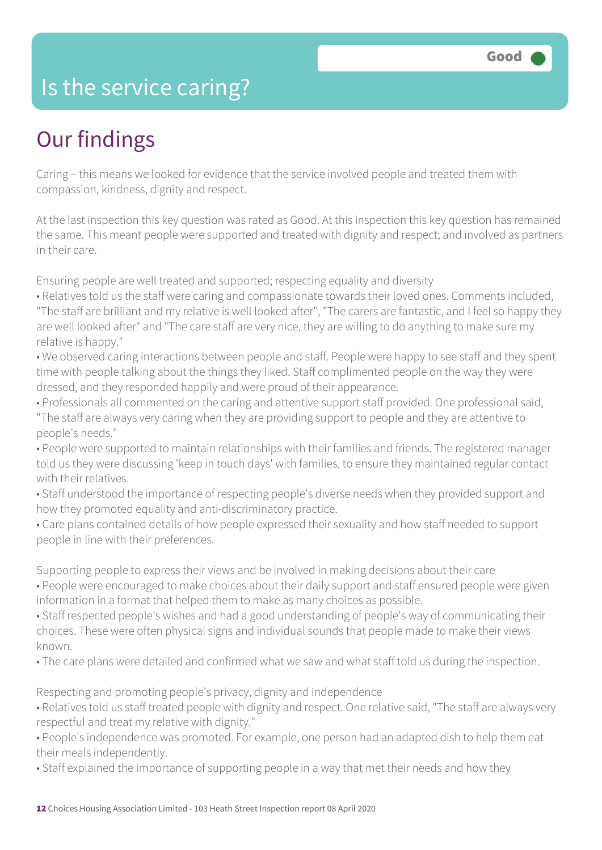### Is the service caring?

## Our findings

Caring – this means we looked for evidence that the service involved people and treated them with compassion, kindness, dignity and respect.

At the last inspection this key question was rated as Good. At this inspection this key question has remained the same. This meant people were supported and treated with dignity and respect; and involved as partners in their care.

Ensuring people are well treated and supported; respecting equality and diversity

- Relatives told us the staff were caring and compassionate towards their loved ones. Comments included, "The staff are brilliant and my relative is well looked after", "The carers are fantastic, and I feel so happy they are well looked after" and "The care staff are very nice, they are willing to do anything to make sure my relative is happy."
- We observed caring interactions between people and staff. People were happy to see staff and they spent time with people talking about the things they liked. Staff complimented people on the way they were dressed, and they responded happily and were proud of their appearance.
- Professionals all commented on the caring and attentive support staff provided. One professional said, "The staff are always very caring when they are providing support to people and they are attentive to people's needs."
- People were supported to maintain relationships with their families and friends. The registered manager told us they were discussing 'keep in touch days' with families, to ensure they maintained regular contact with their relatives.
- Staff understood the importance of respecting people's diverse needs when they provided support and how they promoted equality and anti-discriminatory practice.
- Care plans contained details of how people expressed their sexuality and how staff needed to support people in line with their preferences.

Supporting people to express their views and be involved in making decisions about their care

- People were encouraged to make choices about their daily support and staff ensured people were given information in a format that helped them to make as many choices as possible.
- Staff respected people's wishes and had a good understanding of people's way of communicating their choices. These were often physical signs and individual sounds that people made to make their views known.
- The care plans were detailed and confirmed what we saw and what staff told us during the inspection.

Respecting and promoting people's privacy, dignity and independence

- Relatives told us staff treated people with dignity and respect. One relative said, "The staff are always very respectful and treat my relative with dignity."
- People's independence was promoted. For example, one person had an adapted dish to help them eat their meals independently.
- Staff explained the importance of supporting people in a way that met their needs and how they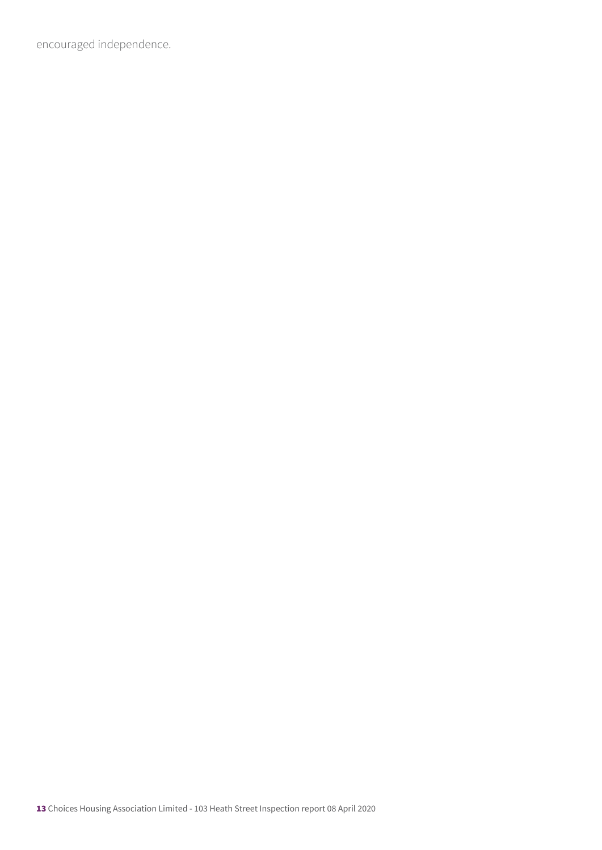encouraged independence.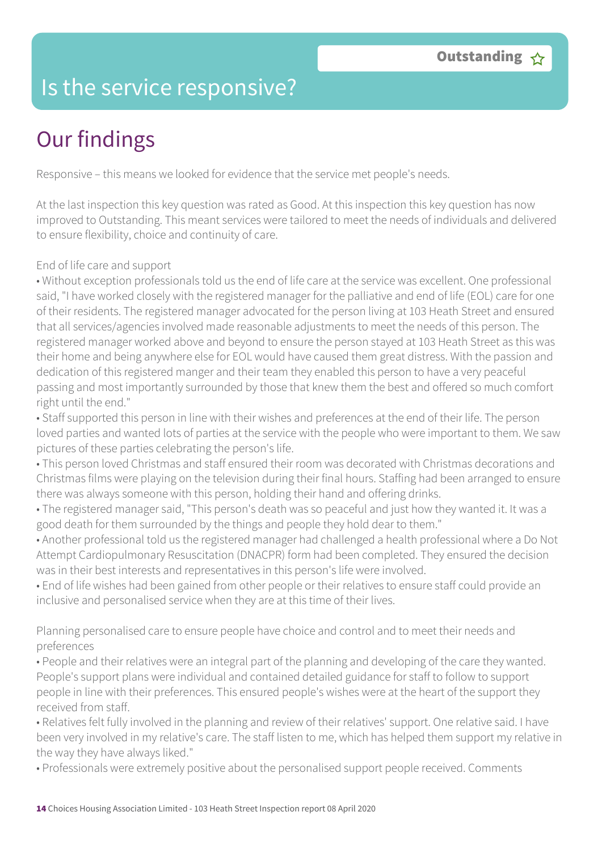## Is the service responsive?

# Our findings

Responsive – this means we looked for evidence that the service met people's needs.

At the last inspection this key question was rated as Good. At this inspection this key question has now improved to Outstanding. This meant services were tailored to meet the needs of individuals and delivered to ensure flexibility, choice and continuity of care.

#### End of life care and support

• Without exception professionals told us the end of life care at the service was excellent. One professional said, "I have worked closely with the registered manager for the palliative and end of life (EOL) care for one of their residents. The registered manager advocated for the person living at 103 Heath Street and ensured that all services/agencies involved made reasonable adjustments to meet the needs of this person. The registered manager worked above and beyond to ensure the person stayed at 103 Heath Street as this was their home and being anywhere else for EOL would have caused them great distress. With the passion and dedication of this registered manger and their team they enabled this person to have a very peaceful passing and most importantly surrounded by those that knew them the best and offered so much comfort right until the end."

• Staff supported this person in line with their wishes and preferences at the end of their life. The person loved parties and wanted lots of parties at the service with the people who were important to them. We saw pictures of these parties celebrating the person's life.

• This person loved Christmas and staff ensured their room was decorated with Christmas decorations and Christmas films were playing on the television during their final hours. Staffing had been arranged to ensure there was always someone with this person, holding their hand and offering drinks.

• The registered manager said, "This person's death was so peaceful and just how they wanted it. It was a good death for them surrounded by the things and people they hold dear to them."

• Another professional told us the registered manager had challenged a health professional where a Do Not Attempt Cardiopulmonary Resuscitation (DNACPR) form had been completed. They ensured the decision was in their best interests and representatives in this person's life were involved.

• End of life wishes had been gained from other people or their relatives to ensure staff could provide an inclusive and personalised service when they are at this time of their lives.

Planning personalised care to ensure people have choice and control and to meet their needs and preferences

• People and their relatives were an integral part of the planning and developing of the care they wanted. People's support plans were individual and contained detailed guidance for staff to follow to support people in line with their preferences. This ensured people's wishes were at the heart of the support they received from staff.

• Relatives felt fully involved in the planning and review of their relatives' support. One relative said. I have been very involved in my relative's care. The staff listen to me, which has helped them support my relative in the way they have always liked."

• Professionals were extremely positive about the personalised support people received. Comments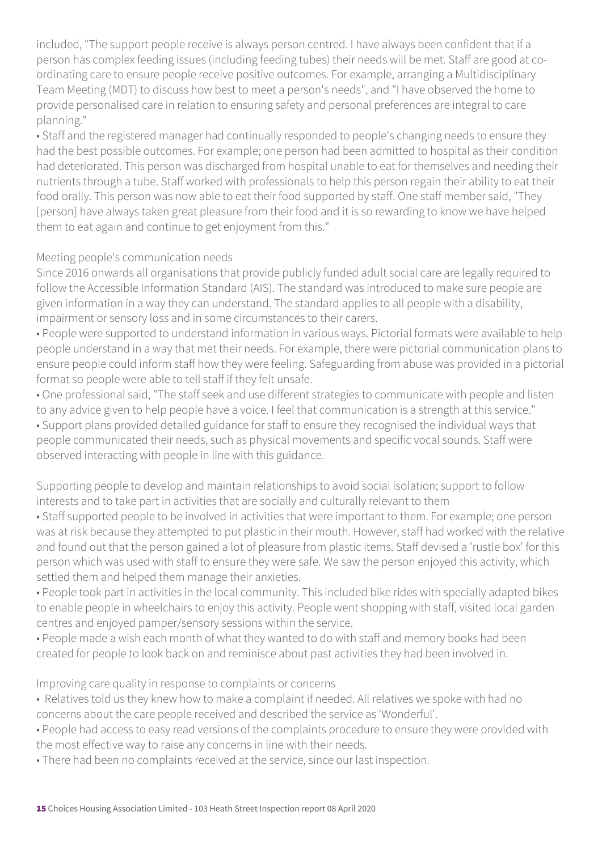included, "The support people receive is always person centred. I have always been confident that if a person has complex feeding issues (including feeding tubes) their needs will be met. Staff are good at coordinating care to ensure people receive positive outcomes. For example, arranging a Multidisciplinary Team Meeting (MDT) to discuss how best to meet a person's needs", and "I have observed the home to provide personalised care in relation to ensuring safety and personal preferences are integral to care planning."

• Staff and the registered manager had continually responded to people's changing needs to ensure they had the best possible outcomes. For example; one person had been admitted to hospital as their condition had deteriorated. This person was discharged from hospital unable to eat for themselves and needing their nutrients through a tube. Staff worked with professionals to help this person regain their ability to eat their food orally. This person was now able to eat their food supported by staff. One staff member said, "They [person] have always taken great pleasure from their food and it is so rewarding to know we have helped them to eat again and continue to get enjoyment from this."

#### Meeting people's communication needs

Since 2016 onwards all organisations that provide publicly funded adult social care are legally required to follow the Accessible Information Standard (AIS). The standard was introduced to make sure people are given information in a way they can understand. The standard applies to all people with a disability, impairment or sensory loss and in some circumstances to their carers.

• People were supported to understand information in various ways. Pictorial formats were available to help people understand in a way that met their needs. For example, there were pictorial communication plans to ensure people could inform staff how they were feeling. Safeguarding from abuse was provided in a pictorial format so people were able to tell staff if they felt unsafe.

• One professional said, "The staff seek and use different strategies to communicate with people and listen to any advice given to help people have a voice. I feel that communication is a strength at this service." • Support plans provided detailed guidance for staff to ensure they recognised the individual ways that people communicated their needs, such as physical movements and specific vocal sounds. Staff were observed interacting with people in line with this guidance.

Supporting people to develop and maintain relationships to avoid social isolation; support to follow interests and to take part in activities that are socially and culturally relevant to them

- Staff supported people to be involved in activities that were important to them. For example; one person was at risk because they attempted to put plastic in their mouth. However, staff had worked with the relative and found out that the person gained a lot of pleasure from plastic items. Staff devised a 'rustle box' for this person which was used with staff to ensure they were safe. We saw the person enjoyed this activity, which settled them and helped them manage their anxieties.
- People took part in activities in the local community. This included bike rides with specially adapted bikes to enable people in wheelchairs to enjoy this activity. People went shopping with staff, visited local garden centres and enjoyed pamper/sensory sessions within the service.
- People made a wish each month of what they wanted to do with staff and memory books had been created for people to look back on and reminisce about past activities they had been involved in.

#### Improving care quality in response to complaints or concerns

- Relatives told us they knew how to make a complaint if needed. All relatives we spoke with had no concerns about the care people received and described the service as 'Wonderful'.
- People had access to easy read versions of the complaints procedure to ensure they were provided with the most effective way to raise any concerns in line with their needs.
- There had been no complaints received at the service, since our last inspection.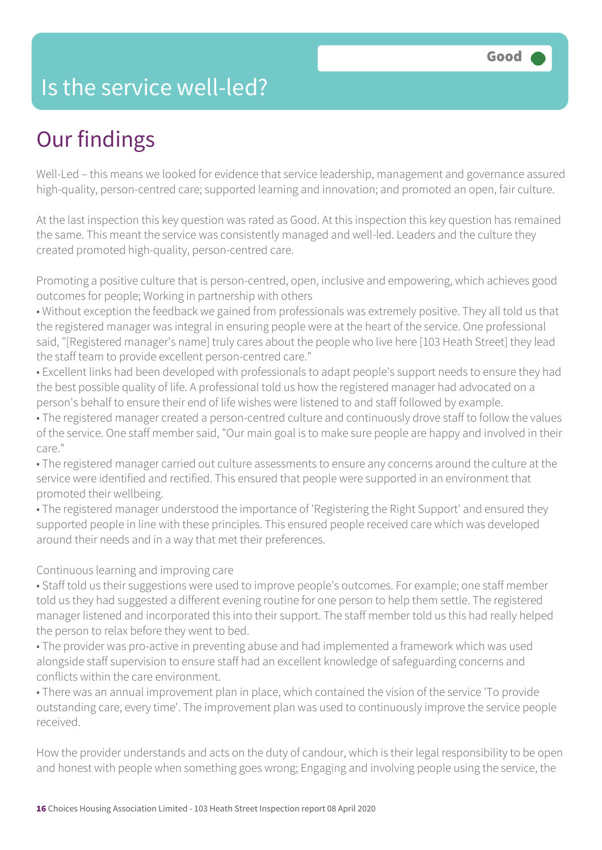### Is the service well-led?

## Our findings

Well-Led – this means we looked for evidence that service leadership, management and governance assured high-quality, person-centred care; supported learning and innovation; and promoted an open, fair culture.

At the last inspection this key question was rated as Good. At this inspection this key question has remained the same. This meant the service was consistently managed and well-led. Leaders and the culture they created promoted high-quality, person-centred care.

Promoting a positive culture that is person-centred, open, inclusive and empowering, which achieves good outcomes for people; Working in partnership with others

• Without exception the feedback we gained from professionals was extremely positive. They all told us that the registered manager was integral in ensuring people were at the heart of the service. One professional said, "[Registered manager's name] truly cares about the people who live here [103 Heath Street] they lead the staff team to provide excellent person-centred care."

• Excellent links had been developed with professionals to adapt people's support needs to ensure they had the best possible quality of life. A professional told us how the registered manager had advocated on a person's behalf to ensure their end of life wishes were listened to and staff followed by example.

• The registered manager created a person-centred culture and continuously drove staff to follow the values of the service. One staff member said, "Our main goal is to make sure people are happy and involved in their care."

• The registered manager carried out culture assessments to ensure any concerns around the culture at the service were identified and rectified. This ensured that people were supported in an environment that promoted their wellbeing.

• The registered manager understood the importance of 'Registering the Right Support' and ensured they supported people in line with these principles. This ensured people received care which was developed around their needs and in a way that met their preferences.

Continuous learning and improving care

• Staff told us their suggestions were used to improve people's outcomes. For example; one staff member told us they had suggested a different evening routine for one person to help them settle. The registered manager listened and incorporated this into their support. The staff member told us this had really helped the person to relax before they went to bed.

• The provider was pro-active in preventing abuse and had implemented a framework which was used alongside staff supervision to ensure staff had an excellent knowledge of safeguarding concerns and conflicts within the care environment.

• There was an annual improvement plan in place, which contained the vision of the service 'To provide outstanding care, every time'. The improvement plan was used to continuously improve the service people received.

How the provider understands and acts on the duty of candour, which is their legal responsibility to be open and honest with people when something goes wrong; Engaging and involving people using the service, the